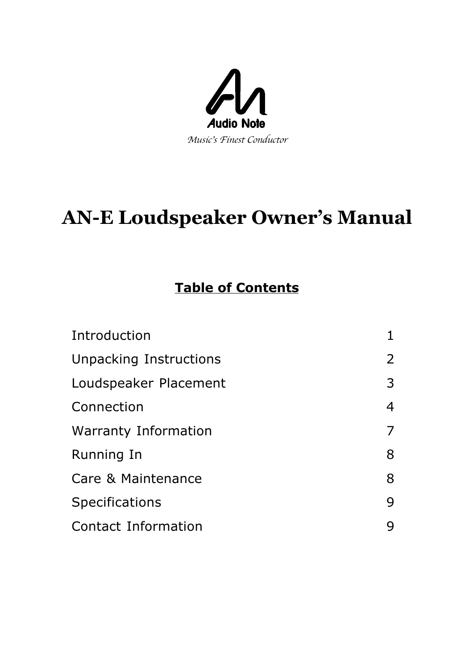

# **AN-E Loudspeaker Owner's Manual**

# **Table of Contents**

| Introduction           | 1              |
|------------------------|----------------|
| Unpacking Instructions | $\overline{2}$ |
| Loudspeaker Placement  | 3              |
| Connection             | 4              |
| Warranty Information   | 7              |
| Running In             | 8              |
| Care & Maintenance     | 8              |
| <b>Specifications</b>  | 9              |
| Contact Information    | 9              |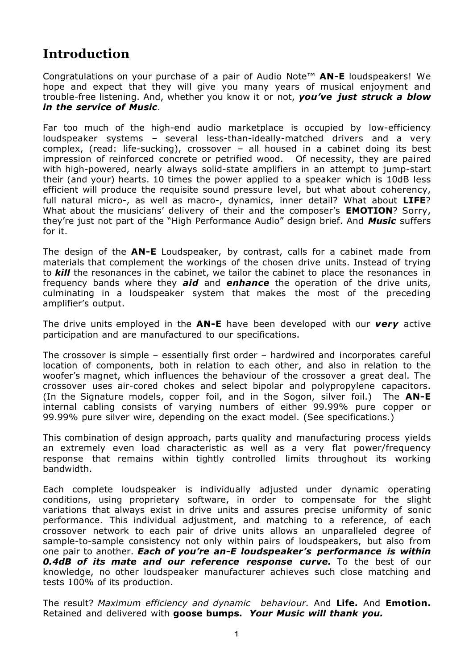# **Introduction**

Congratulations on your purchase of a pair of Audio Note™ **AN-E** loudspeakers! We hope and expect that they will give you many years of musical enjoyment and trouble-free listening. And, whether you know it or not, *you've just struck a blow in the service of Music*.

Far too much of the high-end audio marketplace is occupied by low-efficiency loudspeaker systems – several less-than-ideally-matched drivers and a very complex, (read: life-sucking), crossover – all housed in a cabinet doing its best impression of reinforced concrete or petrified wood. Of necessity, they are paired with high-powered, nearly always solid-state amplifiers in an attempt to jump-start their (and your) hearts. 10 times the power applied to a speaker which is 10dB less efficient will produce the requisite sound pressure level, but what about coherency, full natural micro-, as well as macro-, dynamics, inner detail? What about **LIFE**? What about the musicians' delivery of their and the composer's **EMOTION**? Sorry, they're just not part of the "High Performance Audio" design brief. And *Music* suffers for it.

The design of the **AN-E** Loudspeaker, by contrast, calls for a cabinet made from materials that complement the workings of the chosen drive units. Instead of trying to *kill* the resonances in the cabinet, we tailor the cabinet to place the resonances in frequency bands where they *aid* and *enhance* the operation of the drive units, culminating in a loudspeaker system that makes the most of the preceding amplifier's output.

The drive units employed in the **AN-E** have been developed with our *very* active participation and are manufactured to our specifications.

The crossover is simple – essentially first order – hardwired and incorporates careful location of components, both in relation to each other, and also in relation to the woofer's magnet, which influences the behaviour of the crossover a great deal. The crossover uses air-cored chokes and select bipolar and polypropylene capacitors. (In the Signature models, copper foil, and in the Sogon, silver foil.) The **AN-E** internal cabling consists of varying numbers of either 99.99% pure copper or 99.99% pure silver wire, depending on the exact model. (See specifications.)

This combination of design approach, parts quality and manufacturing process yields an extremely even load characteristic as well as a very flat power/frequency response that remains within tightly controlled limits throughout its working bandwidth.

Each complete loudspeaker is individually adjusted under dynamic operating conditions, using proprietary software, in order to compensate for the slight variations that always exist in drive units and assures precise uniformity of sonic performance. This individual adjustment, and matching to a reference, of each crossover network to each pair of drive units allows an unparalleled degree of sample-to-sample consistency not only within pairs of loudspeakers, but also from one pair to another. *Each of you're an-E loudspeaker's performance is within 0.4dB of its mate and our reference response curve.* To the best of our knowledge, no other loudspeaker manufacturer achieves such close matching and tests 100% of its production.

The result? *Maximum efficiency and dynamic behaviour.* And **Life.** And **Emotion.** Retained and delivered with **goose bumps.** *Your Music will thank you.*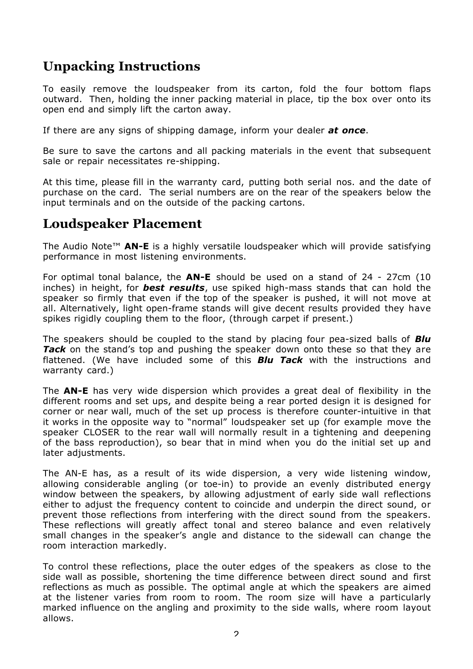# **Unpacking Instructions**

To easily remove the loudspeaker from its carton, fold the four bottom flaps outward. Then, holding the inner packing material in place, tip the box over onto its open end and simply lift the carton away.

If there are any signs of shipping damage, inform your dealer *at once*.

Be sure to save the cartons and all packing materials in the event that subsequent sale or repair necessitates re-shipping.

At this time, please fill in the warranty card, putting both serial nos. and the date of purchase on the card. The serial numbers are on the rear of the speakers below the input terminals and on the outside of the packing cartons.

#### **Loudspeaker Placement**

The Audio Note™ **AN-E** is a highly versatile loudspeaker which will provide satisfying performance in most listening environments.

For optimal tonal balance, the **AN-E** should be used on a stand of 24 - 27cm (10 inches) in height, for *best results*, use spiked high-mass stands that can hold the speaker so firmly that even if the top of the speaker is pushed, it will not move at all. Alternatively, light open-frame stands will give decent results provided they have spikes rigidly coupling them to the floor, (through carpet if present.)

The speakers should be coupled to the stand by placing four pea-sized balls of *Blu Tack* on the stand's top and pushing the speaker down onto these so that they are flattened. (We have included some of this *Blu Tack* with the instructions and warranty card.)

The **AN-E** has very wide dispersion which provides a great deal of flexibility in the different rooms and set ups, and despite being a rear ported design it is designed for corner or near wall, much of the set up process is therefore counter-intuitive in that it works in the opposite way to "normal" loudspeaker set up (for example move the speaker CLOSER to the rear wall will normally result in a tightening and deepening of the bass reproduction), so bear that in mind when you do the initial set up and later adjustments.

The AN-E has, as a result of its wide dispersion, a very wide listening window, allowing considerable angling (or toe-in) to provide an evenly distributed energy window between the speakers, by allowing adjustment of early side wall reflections either to adjust the frequency content to coincide and underpin the direct sound, or prevent those reflections from interfering with the direct sound from the speakers. These reflections will greatly affect tonal and stereo balance and even relatively small changes in the speaker's angle and distance to the sidewall can change the room interaction markedly.

To control these reflections, place the outer edges of the speakers as close to the side wall as possible, shortening the time difference between direct sound and first reflections as much as possible. The optimal angle at which the speakers are aimed at the listener varies from room to room. The room size will have a particularly marked influence on the angling and proximity to the side walls, where room layout allows.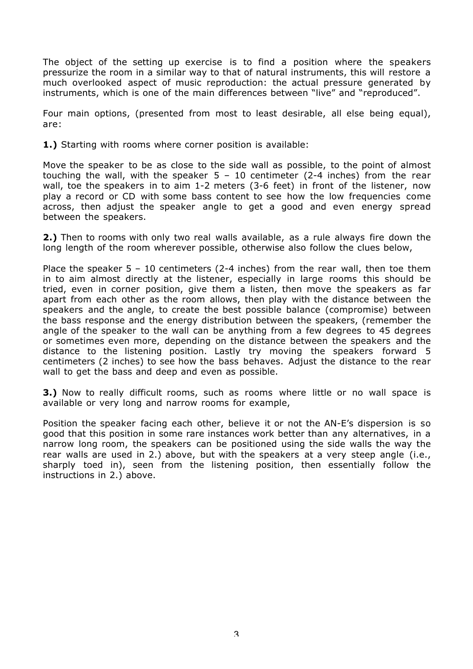The object of the setting up exercise is to find a position where the speakers pressurize the room in a similar way to that of natural instruments, this will restore a much overlooked aspect of music reproduction: the actual pressure generated by instruments, which is one of the main differences between "live" and "reproduced".

Four main options, (presented from most to least desirable, all else being equal), are:

**1.)** Starting with rooms where corner position is available:

Move the speaker to be as close to the side wall as possible, to the point of almost touching the wall, with the speaker  $5 - 10$  centimeter (2-4 inches) from the rear wall, toe the speakers in to aim 1-2 meters (3-6 feet) in front of the listener, now play a record or CD with some bass content to see how the low frequencies come across, then adjust the speaker angle to get a good and even energy spread between the speakers.

**2.)** Then to rooms with only two real walls available, as a rule always fire down the long length of the room wherever possible, otherwise also follow the clues below,

Place the speaker  $5 - 10$  centimeters (2-4 inches) from the rear wall, then toe them in to aim almost directly at the listener, especially in large rooms this should be tried, even in corner position, give them a listen, then move the speakers as far apart from each other as the room allows, then play with the distance between the speakers and the angle, to create the best possible balance (compromise) between the bass response and the energy distribution between the speakers, (remember the angle of the speaker to the wall can be anything from a few degrees to 45 degrees or sometimes even more, depending on the distance between the speakers and the distance to the listening position. Lastly try moving the speakers forward 5 centimeters (2 inches) to see how the bass behaves. Adjust the distance to the rear wall to get the bass and deep and even as possible.

**3.)** Now to really difficult rooms, such as rooms where little or no wall space is available or very long and narrow rooms for example,

Position the speaker facing each other, believe it or not the AN-E's dispersion is so good that this position in some rare instances work better than any alternatives, in a narrow long room, the speakers can be positioned using the side walls the way the rear walls are used in 2.) above, but with the speakers at a very steep angle (i.e., sharply toed in), seen from the listening position, then essentially follow the instructions in 2.) above.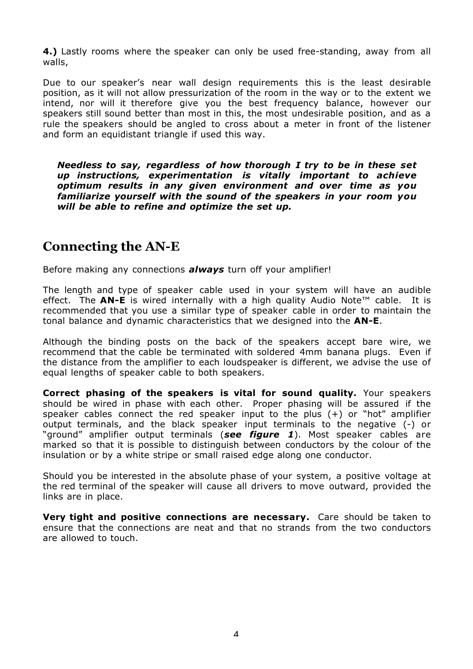**4.)** Lastly rooms where the speaker can only be used free-standing, away from all walls,

Due to our speaker's near wall design requirements this is the least desirable position, as it will not allow pressurization of the room in the way or to the extent we intend, nor will it therefore give you the best frequency balance, however our speakers still sound better than most in this, the most undesirable position, and as a rule the speakers should be angled to cross about a meter in front of the listener and form an equidistant triangle if used this way.

*Needless to say, regardless of how thorough I try to be in these set up instructions, experimentation is vitally important to achieve optimum results in any given environment and over time as you familiarize yourself with the sound of the speakers in your room you will be able to refine and optimize the set up.*

#### **Connecting the AN-E**

Before making any connections *always* turn off your amplifier!

The length and type of speaker cable used in your system will have an audible effect. The **AN-E** is wired internally with a high quality Audio Note™ cable. It is recommended that you use a similar type of speaker cable in order to maintain the tonal balance and dynamic characteristics that we designed into the **AN-E**.

Although the binding posts on the back of the speakers accept bare wire, we recommend that the cable be terminated with soldered 4mm banana plugs. Even if the distance from the amplifier to each loudspeaker is different, we advise the use of equal lengths of speaker cable to both speakers.

**Correct phasing of the speakers is vital for sound quality.** Your speakers should be wired in phase with each other. Proper phasing will be assured if the speaker cables connect the red speaker input to the plus (+) or "hot" amplifier output terminals, and the black speaker input terminals to the negative (-) or "ground" amplifier output terminals (*see figure 1*). Most speaker cables are marked so that it is possible to distinguish between conductors by the colour of the insulation or by a white stripe or small raised edge along one conductor.

Should you be interested in the absolute phase of your system, a positive voltage at the red terminal of the speaker will cause all drivers to move outward, provided the links are in place.

**Very tight and positive connections are necessary.** Care should be taken to ensure that the connections are neat and that no strands from the two conductors are allowed to touch.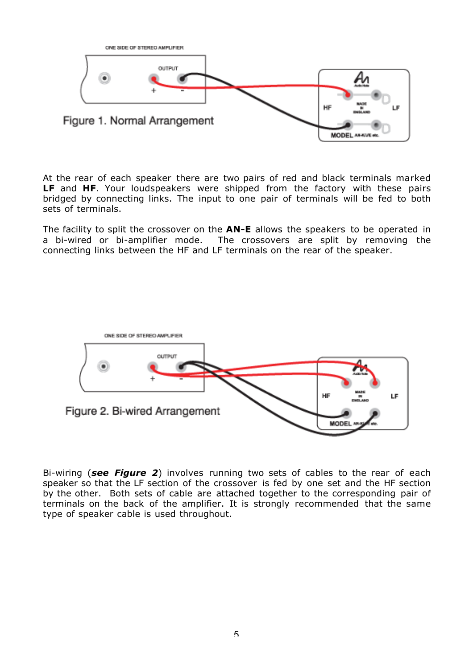

At the rear of each speaker there are two pairs of red and black terminals marked **LF** and **HF**. Your loudspeakers were shipped from the factory with these pairs bridged by connecting links. The input to one pair of terminals will be fed to both sets of terminals.

The facility to split the crossover on the **AN-E** allows the speakers to be operated in a bi-wired or bi-amplifier mode. The crossovers are split by removing the connecting links between the HF and LF terminals on the rear of the speaker.



Bi-wiring (*see Figure 2*) involves running two sets of cables to the rear of each speaker so that the LF section of the crossover is fed by one set and the HF section by the other. Both sets of cable are attached together to the corresponding pair of terminals on the back of the amplifier. It is strongly recommended that the same type of speaker cable is used throughout.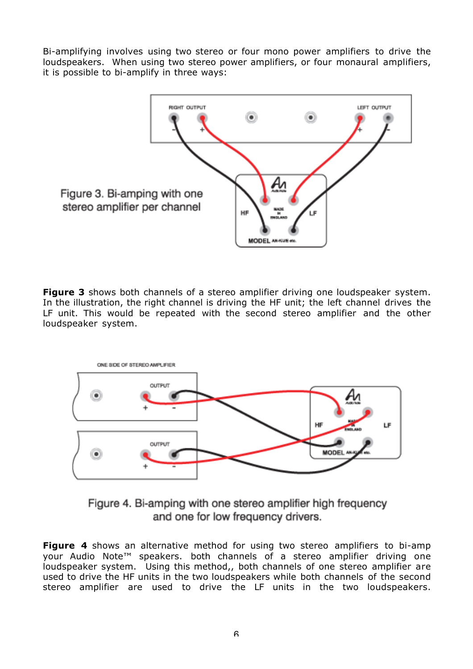Bi-amplifying involves using two stereo or four mono power amplifiers to drive the loudspeakers. When using two stereo power amplifiers, or four monaural amplifiers, it is possible to bi-amplify in three ways:



**Figure 3** shows both channels of a stereo amplifier driving one loudspeaker system. In the illustration, the right channel is driving the HF unit; the left channel drives the LF unit. This would be repeated with the second stereo amplifier and the other loudspeaker system.



Figure 4. Bi-amping with one stereo amplifier high frequency and one for low frequency drivers.

**Figure 4** shows an alternative method for using two stereo amplifiers to bi-amp your Audio Note™ speakers. both channels of a stereo amplifier driving one loudspeaker system. Using this method,, both channels of one stereo amplifier are used to drive the HF units in the two loudspeakers while both channels of the second stereo amplifier are used to drive the LF units in the two loudspeakers.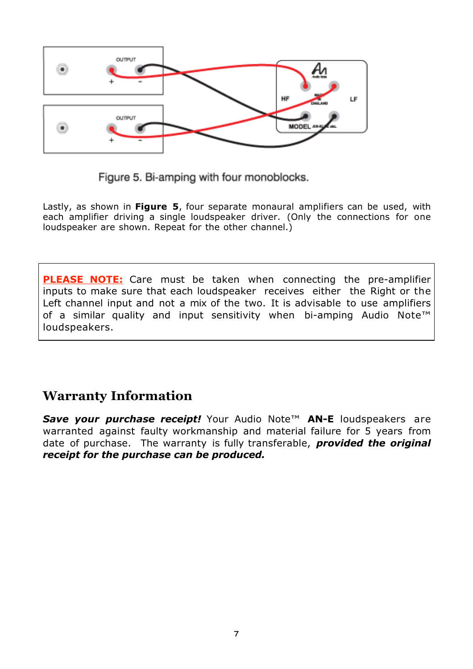

Figure 5. Bi-amping with four monoblocks.

Lastly, as shown in **Figure 5**, four separate monaural amplifiers can be used, with each amplifier driving a single loudspeaker driver. (Only the connections for one loudspeaker are shown. Repeat for the other channel.)

**PLEASE NOTE:** Care must be taken when connecting the pre-amplifier inputs to make sure that each loudspeaker receives either the Right or the Left channel input and not a mix of the two. It is advisable to use amplifiers of a similar quality and input sensitivity when bi-amping Audio Note™ loudspeakers.

### **Warranty Information**

*Save your purchase receipt!* Your Audio Note™ **AN-E** loudspeakers are warranted against faulty workmanship and material failure for 5 years from date of purchase. The warranty is fully transferable, *provided the original receipt for the purchase can be produced.*